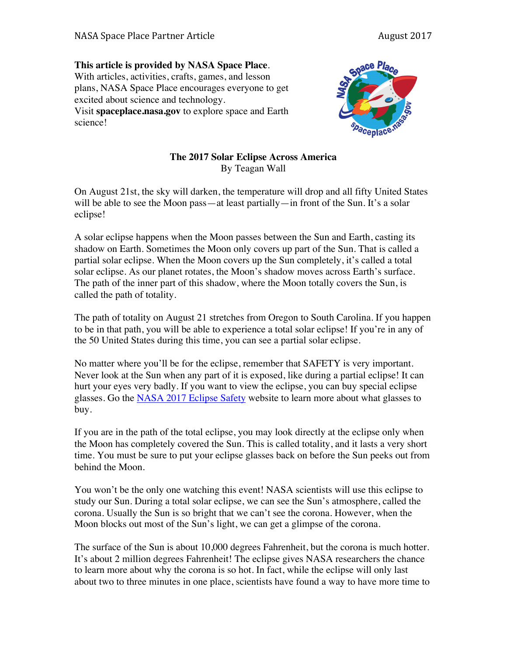## **This article is provided by NASA Space Place**.

With articles, activities, crafts, games, and lesson plans, NASA Space Place encourages everyone to get excited about science and technology. Visit **spaceplace.nasa.gov** to explore space and Earth

science!



## **The 2017 Solar Eclipse Across America** By Teagan Wall

On August 21st, the sky will darken, the temperature will drop and all fifty United States will be able to see the Moon pass—at least partially—in front of the Sun. It's a solar eclipse!

A solar eclipse happens when the Moon passes between the Sun and Earth, casting its shadow on Earth. Sometimes the Moon only covers up part of the Sun. That is called a partial solar eclipse. When the Moon covers up the Sun completely, it's called a total solar eclipse. As our planet rotates, the Moon's shadow moves across Earth's surface. The path of the inner part of this shadow, where the Moon totally covers the Sun, is called the path of totality.

The path of totality on August 21 stretches from Oregon to South Carolina. If you happen to be in that path, you will be able to experience a total solar eclipse! If you're in any of the 50 United States during this time, you can see a partial solar eclipse.

No matter where you'll be for the eclipse, remember that SAFETY is very important. Never look at the Sun when any part of it is exposed, like during a partial eclipse! It can hurt your eyes very badly. If you want to view the eclipse, you can buy special eclipse glasses. Go the NASA 2017 Eclipse Safety website to learn more about what glasses to buy.

If you are in the path of the total eclipse, you may look directly at the eclipse only when the Moon has completely covered the Sun. This is called totality, and it lasts a very short time. You must be sure to put your eclipse glasses back on before the Sun peeks out from behind the Moon.

You won't be the only one watching this event! NASA scientists will use this eclipse to study our Sun. During a total solar eclipse, we can see the Sun's atmosphere, called the corona. Usually the Sun is so bright that we can't see the corona. However, when the Moon blocks out most of the Sun's light, we can get a glimpse of the corona.

The surface of the Sun is about 10,000 degrees Fahrenheit, but the corona is much hotter. It's about 2 million degrees Fahrenheit! The eclipse gives NASA researchers the chance to learn more about why the corona is so hot. In fact, while the eclipse will only last about two to three minutes in one place, scientists have found a way to have more time to